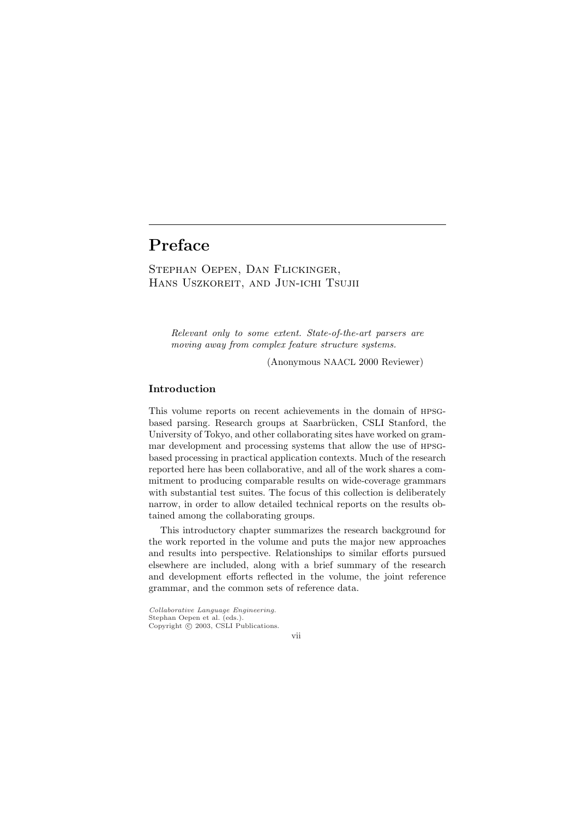# Preface

Stephan Oepen, Dan Flickinger, Hans Uszkoreit, and Jun-ichi Tsujii

> Relevant only to some extent. State-of-the-art parsers are moving away from complex feature structure systems.

> > (Anonymous NAACL 2000 Reviewer)

# Introduction

This volume reports on recent achievements in the domain of hpsgbased parsing. Research groups at Saarbrücken, CSLI Stanford, the University of Tokyo, and other collaborating sites have worked on grammar development and processing systems that allow the use of hpsgbased processing in practical application contexts. Much of the research reported here has been collaborative, and all of the work shares a commitment to producing comparable results on wide-coverage grammars with substantial test suites. The focus of this collection is deliberately narrow, in order to allow detailed technical reports on the results obtained among the collaborating groups.

This introductory chapter summarizes the research background for the work reported in the volume and puts the major new approaches and results into perspective. Relationships to similar efforts pursued elsewhere are included, along with a brief summary of the research and development efforts reflected in the volume, the joint reference grammar, and the common sets of reference data.

Collaborative Language Engineering. Stephan Oepen et al. (eds.). Copyright  $\hat{\odot}$  2003, CSLI Publications.

vii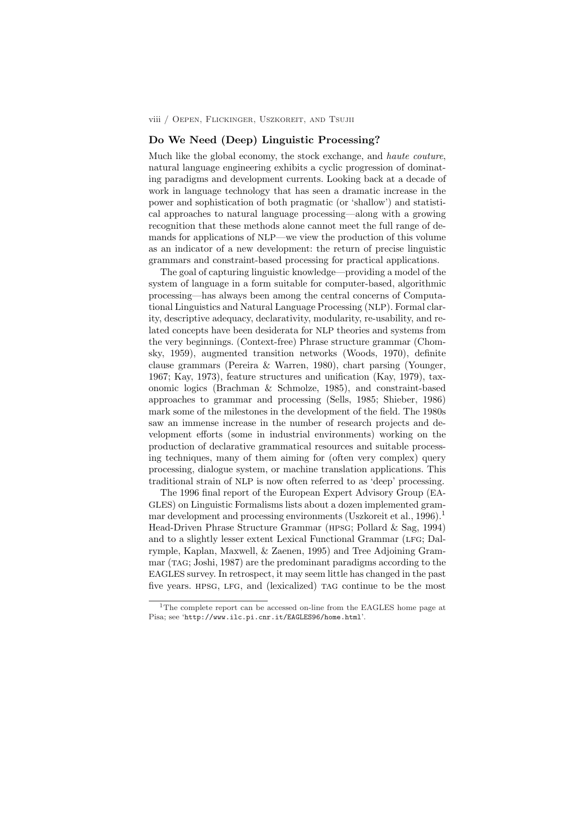#### viii / Oepen, Flickinger, Uszkoreit, and Tsujii

## Do We Need (Deep) Linguistic Processing?

Much like the global economy, the stock exchange, and haute couture, natural language engineering exhibits a cyclic progression of dominating paradigms and development currents. Looking back at a decade of work in language technology that has seen a dramatic increase in the power and sophistication of both pragmatic (or 'shallow') and statistical approaches to natural language processing—along with a growing recognition that these methods alone cannot meet the full range of demands for applications of NLP—we view the production of this volume as an indicator of a new development: the return of precise linguistic grammars and constraint-based processing for practical applications.

The goal of capturing linguistic knowledge—providing a model of the system of language in a form suitable for computer-based, algorithmic processing—has always been among the central concerns of Computational Linguistics and Natural Language Processing (NLP). Formal clarity, descriptive adequacy, declarativity, modularity, re-usability, and related concepts have been desiderata for NLP theories and systems from the very beginnings. (Context-free) Phrase structure grammar (Chomsky, 1959), augmented transition networks (Woods, 1970), definite clause grammars (Pereira & Warren, 1980), chart parsing (Younger, 1967; Kay, 1973), feature structures and unification (Kay, 1979), taxonomic logics (Brachman & Schmolze, 1985), and constraint-based approaches to grammar and processing (Sells, 1985; Shieber, 1986) mark some of the milestones in the development of the field. The 1980s saw an immense increase in the number of research projects and development efforts (some in industrial environments) working on the production of declarative grammatical resources and suitable processing techniques, many of them aiming for (often very complex) query processing, dialogue system, or machine translation applications. This traditional strain of NLP is now often referred to as 'deep' processing.

The 1996 final report of the European Expert Advisory Group (EA-GLES) on Linguistic Formalisms lists about a dozen implemented grammar development and processing environments (Uszkoreit et al., 1996).<sup>1</sup> Head-Driven Phrase Structure Grammar (hpsg; Pollard & Sag, 1994) and to a slightly lesser extent Lexical Functional Grammar (lfg; Dalrymple, Kaplan, Maxwell, & Zaenen, 1995) and Tree Adjoining Grammar (TAG; Joshi, 1987) are the predominant paradigms according to the EAGLES survey. In retrospect, it may seem little has changed in the past five years. HPSG, LFG, and (lexicalized) TAG continue to be the most

<sup>1</sup>The complete report can be accessed on-line from the EAGLES home page at Pisa; see 'http://www.ilc.pi.cnr.it/EAGLES96/home.html'.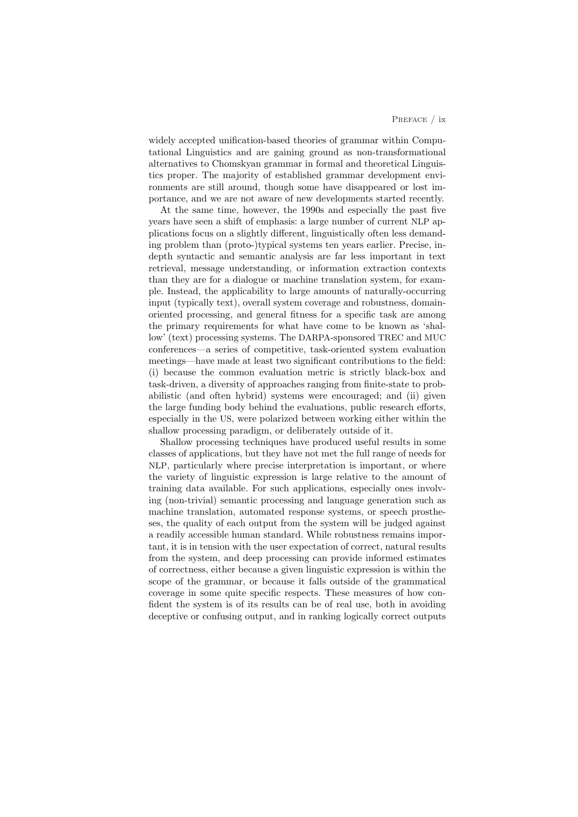## PREFACE / ix

widely accepted unification-based theories of grammar within Computational Linguistics and are gaining ground as non-transformational alternatives to Chomskyan grammar in formal and theoretical Linguistics proper. The majority of established grammar development environments are still around, though some have disappeared or lost importance, and we are not aware of new developments started recently.

At the same time, however, the 1990s and especially the past five years have seen a shift of emphasis: a large number of current NLP applications focus on a slightly different, linguistically often less demanding problem than (proto-)typical systems ten years earlier. Precise, indepth syntactic and semantic analysis are far less important in text retrieval, message understanding, or information extraction contexts than they are for a dialogue or machine translation system, for example. Instead, the applicability to large amounts of naturally-occurring input (typically text), overall system coverage and robustness, domainoriented processing, and general fitness for a specific task are among the primary requirements for what have come to be known as 'shallow' (text) processing systems. The DARPA-sponsored TREC and MUC conferences—a series of competitive, task-oriented system evaluation meetings—have made at least two significant contributions to the field: (i) because the common evaluation metric is strictly black-box and task-driven, a diversity of approaches ranging from finite-state to probabilistic (and often hybrid) systems were encouraged; and (ii) given the large funding body behind the evaluations, public research efforts, especially in the US, were polarized between working either within the shallow processing paradigm, or deliberately outside of it.

Shallow processing techniques have produced useful results in some classes of applications, but they have not met the full range of needs for NLP, particularly where precise interpretation is important, or where the variety of linguistic expression is large relative to the amount of training data available. For such applications, especially ones involving (non-trivial) semantic processing and language generation such as machine translation, automated response systems, or speech prostheses, the quality of each output from the system will be judged against a readily accessible human standard. While robustness remains important, it is in tension with the user expectation of correct, natural results from the system, and deep processing can provide informed estimates of correctness, either because a given linguistic expression is within the scope of the grammar, or because it falls outside of the grammatical coverage in some quite specific respects. These measures of how confident the system is of its results can be of real use, both in avoiding deceptive or confusing output, and in ranking logically correct outputs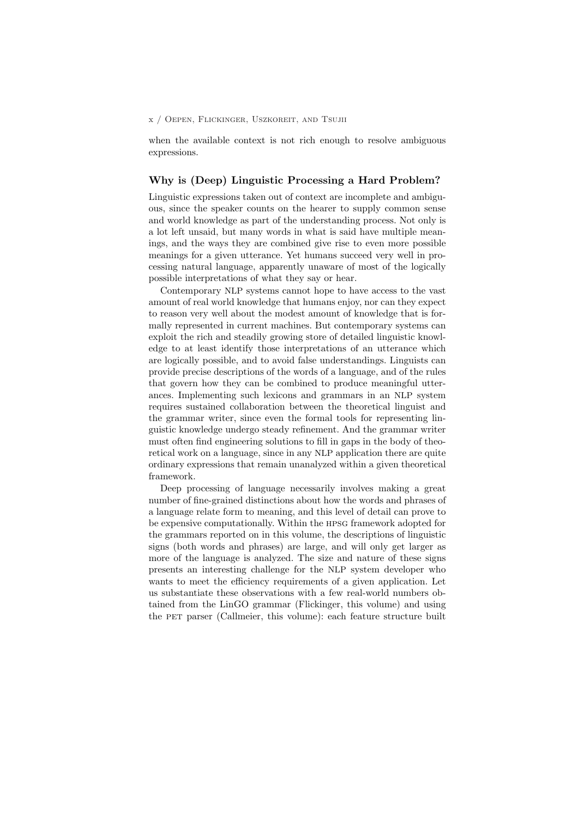#### x / Oepen, Flickinger, Uszkoreit, and Tsujii

when the available context is not rich enough to resolve ambiguous expressions.

# Why is (Deep) Linguistic Processing a Hard Problem?

Linguistic expressions taken out of context are incomplete and ambiguous, since the speaker counts on the hearer to supply common sense and world knowledge as part of the understanding process. Not only is a lot left unsaid, but many words in what is said have multiple meanings, and the ways they are combined give rise to even more possible meanings for a given utterance. Yet humans succeed very well in processing natural language, apparently unaware of most of the logically possible interpretations of what they say or hear.

Contemporary NLP systems cannot hope to have access to the vast amount of real world knowledge that humans enjoy, nor can they expect to reason very well about the modest amount of knowledge that is formally represented in current machines. But contemporary systems can exploit the rich and steadily growing store of detailed linguistic knowledge to at least identify those interpretations of an utterance which are logically possible, and to avoid false understandings. Linguists can provide precise descriptions of the words of a language, and of the rules that govern how they can be combined to produce meaningful utterances. Implementing such lexicons and grammars in an NLP system requires sustained collaboration between the theoretical linguist and the grammar writer, since even the formal tools for representing linguistic knowledge undergo steady refinement. And the grammar writer must often find engineering solutions to fill in gaps in the body of theoretical work on a language, since in any NLP application there are quite ordinary expressions that remain unanalyzed within a given theoretical framework.

Deep processing of language necessarily involves making a great number of fine-grained distinctions about how the words and phrases of a language relate form to meaning, and this level of detail can prove to be expensive computationally. Within the hpsg framework adopted for the grammars reported on in this volume, the descriptions of linguistic signs (both words and phrases) are large, and will only get larger as more of the language is analyzed. The size and nature of these signs presents an interesting challenge for the NLP system developer who wants to meet the efficiency requirements of a given application. Let us substantiate these observations with a few real-world numbers obtained from the LinGO grammar (Flickinger, this volume) and using the pet parser (Callmeier, this volume): each feature structure built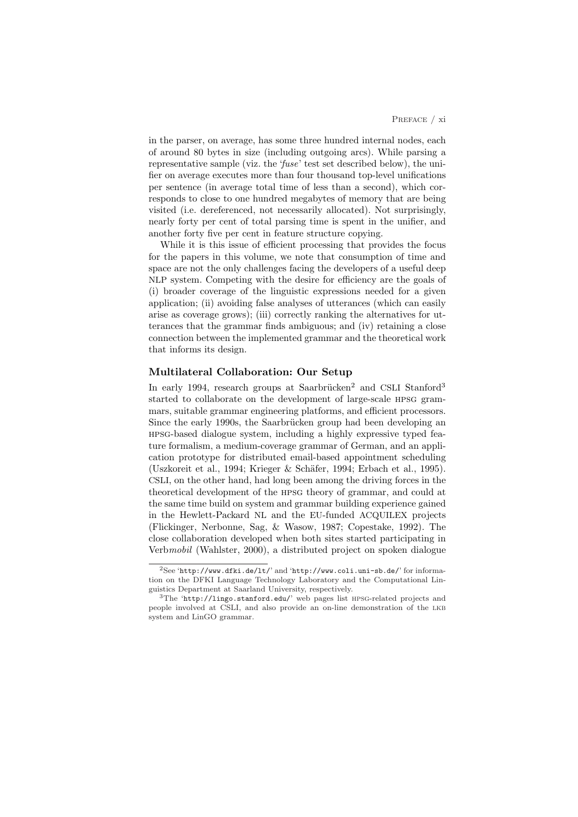in the parser, on average, has some three hundred internal nodes, each of around 80 bytes in size (including outgoing arcs). While parsing a representative sample (viz. the 'fuse' test set described below), the unifier on average executes more than four thousand top-level unifications per sentence (in average total time of less than a second), which corresponds to close to one hundred megabytes of memory that are being visited (i.e. dereferenced, not necessarily allocated). Not surprisingly, nearly forty per cent of total parsing time is spent in the unifier, and another forty five per cent in feature structure copying.

While it is this issue of efficient processing that provides the focus for the papers in this volume, we note that consumption of time and space are not the only challenges facing the developers of a useful deep NLP system. Competing with the desire for efficiency are the goals of (i) broader coverage of the linguistic expressions needed for a given application; (ii) avoiding false analyses of utterances (which can easily arise as coverage grows); (iii) correctly ranking the alternatives for utterances that the grammar finds ambiguous; and (iv) retaining a close connection between the implemented grammar and the theoretical work that informs its design.

## Multilateral Collaboration: Our Setup

In early 1994, research groups at Saarbrücken<sup>2</sup> and CSLI Stanford<sup>3</sup> started to collaborate on the development of large-scale HPSG grammars, suitable grammar engineering platforms, and efficient processors. Since the early 1990s, the Saarbrücken group had been developing an hpsg-based dialogue system, including a highly expressive typed feature formalism, a medium-coverage grammar of German, and an application prototype for distributed email-based appointment scheduling (Uszkoreit et al., 1994; Krieger & Schäfer, 1994; Erbach et al., 1995). CSLI, on the other hand, had long been among the driving forces in the theoretical development of the hpsg theory of grammar, and could at the same time build on system and grammar building experience gained in the Hewlett-Packard NL and the EU-funded ACQUILEX projects (Flickinger, Nerbonne, Sag, & Wasow, 1987; Copestake, 1992). The close collaboration developed when both sites started participating in Verbmobil (Wahlster, 2000), a distributed project on spoken dialogue

 $^2{\rm See}$ 'http://www.dfki.de/lt/' and 'http://www.coli.uni-sb.de/' for information on the DFKI Language Technology Laboratory and the Computational Linguistics Department at Saarland University, respectively.

<sup>3</sup>The 'http://lingo.stanford.edu/' web pages list hpsg-related projects and people involved at CSLI, and also provide an on-line demonstration of the lkb system and LinGO grammar.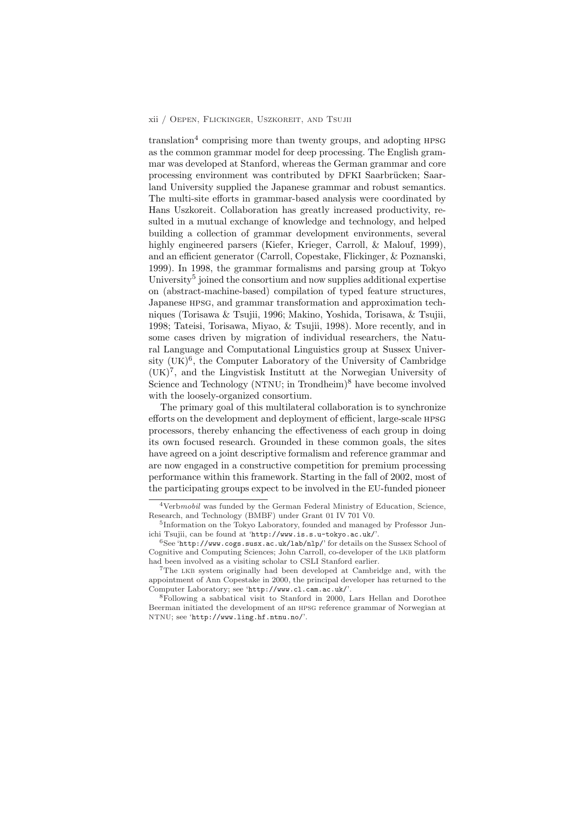#### xii / Oepen, Flickinger, Uszkoreit, and Tsujii

translation<sup>4</sup> comprising more than twenty groups, and adopting HPSG as the common grammar model for deep processing. The English grammar was developed at Stanford, whereas the German grammar and core processing environment was contributed by DFKI Saarbrücken; Saarland University supplied the Japanese grammar and robust semantics. The multi-site efforts in grammar-based analysis were coordinated by Hans Uszkoreit. Collaboration has greatly increased productivity, resulted in a mutual exchange of knowledge and technology, and helped building a collection of grammar development environments, several highly engineered parsers (Kiefer, Krieger, Carroll, & Malouf, 1999), and an efficient generator (Carroll, Copestake, Flickinger, & Poznanski, 1999). In 1998, the grammar formalisms and parsing group at Tokyo University<sup>5</sup> joined the consortium and now supplies additional expertise on (abstract-machine-based) compilation of typed feature structures, Japanese hpsg, and grammar transformation and approximation techniques (Torisawa & Tsujii, 1996; Makino, Yoshida, Torisawa, & Tsujii, 1998; Tateisi, Torisawa, Miyao, & Tsujii, 1998). More recently, and in some cases driven by migration of individual researchers, the Natural Language and Computational Linguistics group at Sussex University  $(UK)^6$ , the Computer Laboratory of the University of Cambridge  $(UK)^7$ , and the Lingvistisk Institutt at the Norwegian University of Science and Technology (NTNU; in Trondheim)<sup>8</sup> have become involved with the loosely-organized consortium.

The primary goal of this multilateral collaboration is to synchronize efforts on the development and deployment of efficient, large-scale hpsg processors, thereby enhancing the effectiveness of each group in doing its own focused research. Grounded in these common goals, the sites have agreed on a joint descriptive formalism and reference grammar and are now engaged in a constructive competition for premium processing performance within this framework. Starting in the fall of 2002, most of the participating groups expect to be involved in the EU-funded pioneer

<sup>&</sup>lt;sup>4</sup>Verbmobil was funded by the German Federal Ministry of Education, Science, Research, and Technology (BMBF) under Grant 01 IV 701 V0.

<sup>5</sup> Information on the Tokyo Laboratory, founded and managed by Professor Junichi Tsujii, can be found at 'http://www.is.s.u-tokyo.ac.uk/'.

<sup>6</sup>See 'http://www.cogs.susx.ac.uk/lab/nlp/' for details on the Sussex School of Cognitive and Computing Sciences; John Carroll, co-developer of the LKB platform had been involved as a visiting scholar to CSLI Stanford earlier.

<sup>&</sup>lt;sup>7</sup>The LKB system originally had been developed at Cambridge and, with the appointment of Ann Copestake in 2000, the principal developer has returned to the Computer Laboratory; see 'http://www.cl.cam.ac.uk/'.

<sup>8</sup>Following a sabbatical visit to Stanford in 2000, Lars Hellan and Dorothee Beerman initiated the development of an hpsg reference grammar of Norwegian at NTNU; see 'http://www.ling.hf.ntnu.no/'.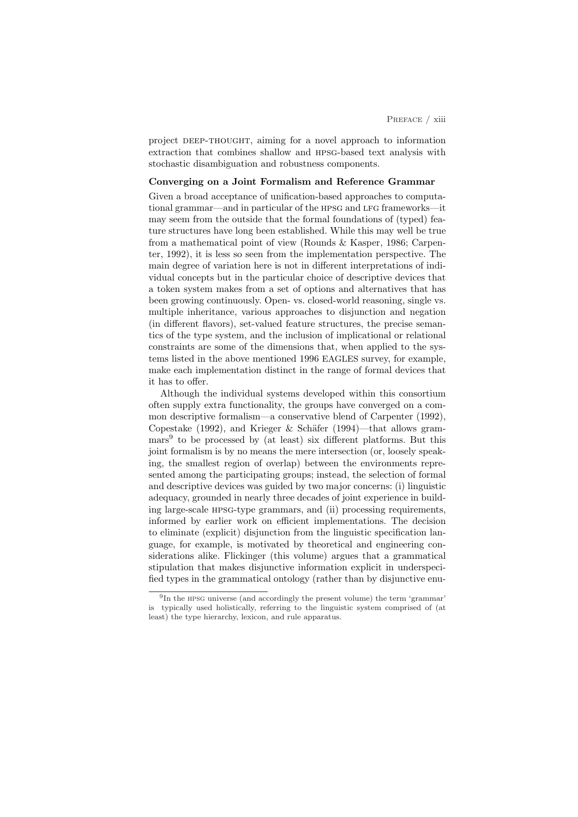project DEEP-THOUGHT, aiming for a novel approach to information extraction that combines shallow and hpsg-based text analysis with stochastic disambiguation and robustness components.

### Converging on a Joint Formalism and Reference Grammar

Given a broad acceptance of unification-based approaches to computational grammar—and in particular of the HPSG and LFG frameworks—it may seem from the outside that the formal foundations of (typed) feature structures have long been established. While this may well be true from a mathematical point of view (Rounds & Kasper, 1986; Carpenter, 1992), it is less so seen from the implementation perspective. The main degree of variation here is not in different interpretations of individual concepts but in the particular choice of descriptive devices that a token system makes from a set of options and alternatives that has been growing continuously. Open- vs. closed-world reasoning, single vs. multiple inheritance, various approaches to disjunction and negation (in different flavors), set-valued feature structures, the precise semantics of the type system, and the inclusion of implicational or relational constraints are some of the dimensions that, when applied to the systems listed in the above mentioned 1996 EAGLES survey, for example, make each implementation distinct in the range of formal devices that it has to offer.

Although the individual systems developed within this consortium often supply extra functionality, the groups have converged on a common descriptive formalism—a conservative blend of Carpenter (1992), Copestake (1992), and Krieger & Schäfer (1994)—that allows grammars<sup>9</sup> to be processed by (at least) six different platforms. But this joint formalism is by no means the mere intersection (or, loosely speaking, the smallest region of overlap) between the environments represented among the participating groups; instead, the selection of formal and descriptive devices was guided by two major concerns: (i) linguistic adequacy, grounded in nearly three decades of joint experience in building large-scale hpsg-type grammars, and (ii) processing requirements, informed by earlier work on efficient implementations. The decision to eliminate (explicit) disjunction from the linguistic specification language, for example, is motivated by theoretical and engineering considerations alike. Flickinger (this volume) argues that a grammatical stipulation that makes disjunctive information explicit in underspecified types in the grammatical ontology (rather than by disjunctive enu-

<sup>&</sup>lt;sup>9</sup>In the HPSG universe (and accordingly the present volume) the term 'grammar' is typically used holistically, referring to the linguistic system comprised of (at least) the type hierarchy, lexicon, and rule apparatus.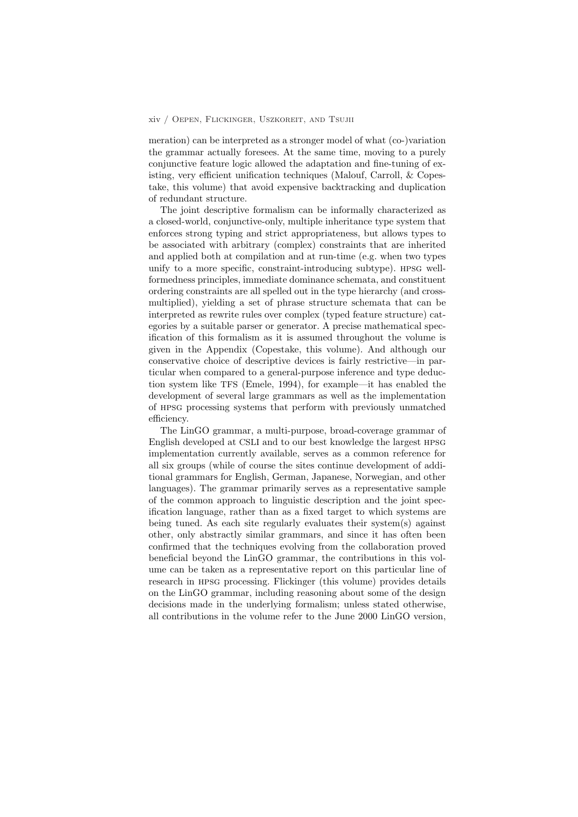#### xiv / Oepen, Flickinger, Uszkoreit, and Tsujii

meration) can be interpreted as a stronger model of what (co-)variation the grammar actually foresees. At the same time, moving to a purely conjunctive feature logic allowed the adaptation and fine-tuning of existing, very efficient unification techniques (Malouf, Carroll, & Copestake, this volume) that avoid expensive backtracking and duplication of redundant structure.

The joint descriptive formalism can be informally characterized as a closed-world, conjunctive-only, multiple inheritance type system that enforces strong typing and strict appropriateness, but allows types to be associated with arbitrary (complex) constraints that are inherited and applied both at compilation and at run-time (e.g. when two types unify to a more specific, constraint-introducing subtype). HPSG wellformedness principles, immediate dominance schemata, and constituent ordering constraints are all spelled out in the type hierarchy (and crossmultiplied), yielding a set of phrase structure schemata that can be interpreted as rewrite rules over complex (typed feature structure) categories by a suitable parser or generator. A precise mathematical specification of this formalism as it is assumed throughout the volume is given in the Appendix (Copestake, this volume). And although our conservative choice of descriptive devices is fairly restrictive—in particular when compared to a general-purpose inference and type deduction system like TFS (Emele, 1994), for example—it has enabled the development of several large grammars as well as the implementation of hpsg processing systems that perform with previously unmatched efficiency.

The LinGO grammar, a multi-purpose, broad-coverage grammar of English developed at CSLI and to our best knowledge the largest hpsg implementation currently available, serves as a common reference for all six groups (while of course the sites continue development of additional grammars for English, German, Japanese, Norwegian, and other languages). The grammar primarily serves as a representative sample of the common approach to linguistic description and the joint specification language, rather than as a fixed target to which systems are being tuned. As each site regularly evaluates their system(s) against other, only abstractly similar grammars, and since it has often been confirmed that the techniques evolving from the collaboration proved beneficial beyond the LinGO grammar, the contributions in this volume can be taken as a representative report on this particular line of research in hpsg processing. Flickinger (this volume) provides details on the LinGO grammar, including reasoning about some of the design decisions made in the underlying formalism; unless stated otherwise, all contributions in the volume refer to the June 2000 LinGO version,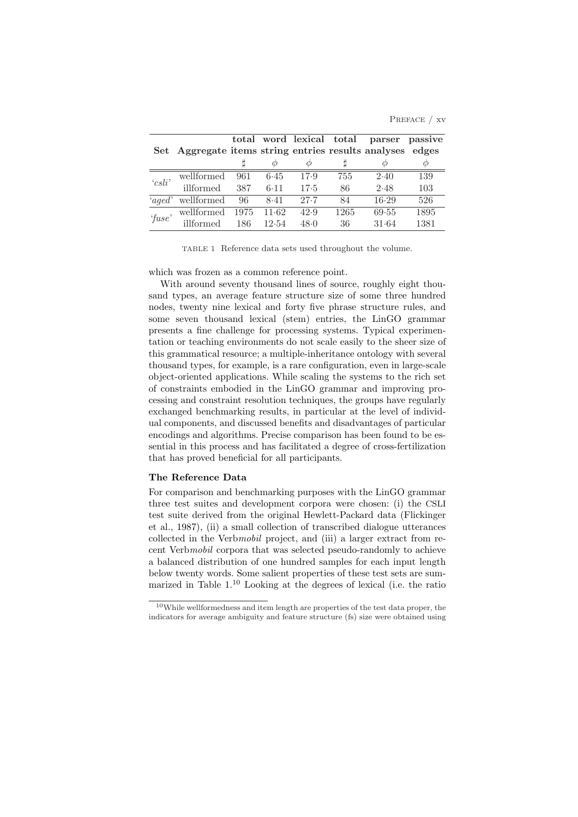|           | Set Aggregate items string entries results analyses edges |     |          | total word lexical total |      | parser passive |      |
|-----------|-----------------------------------------------------------|-----|----------|--------------------------|------|----------------|------|
|           |                                                           |     |          | $\omega$                 |      |                | ω    |
| $'s$ csli | wellformed                                                | 961 | 6.45     | 17.9                     | 755  | 2.40           | 139  |
|           | illformed                                                 | 387 | $6 - 11$ | 17.5                     | 86   | 2.48           | 103  |
| 'aged'    | wellformed                                                | 96  | 8.41     | 27.7                     | 84   | 16.29          | 526  |
| 'fuse'    | wellformed 1975                                           |     | 11.62    | 42.9                     | 1265 | 69.55          | 1895 |
|           | illformed                                                 | 186 | 12.54    | 48.0                     | 36   | 31.64          | 1381 |

TABLE 1 Reference data sets used throughout the volume.

which was frozen as a common reference point.

With around seventy thousand lines of source, roughly eight thousand types, an average feature structure size of some three hundred nodes, twenty nine lexical and forty five phrase structure rules, and some seven thousand lexical (stem) entries, the LinGO grammar presents a fine challenge for processing systems. Typical experimentation or teaching environments do not scale easily to the sheer size of this grammatical resource; a multiple-inheritance ontology with several thousand types, for example, is a rare configuration, even in large-scale object-oriented applications. While scaling the systems to the rich set of constraints embodied in the LinGO grammar and improving processing and constraint resolution techniques, the groups have regularly exchanged benchmarking results, in particular at the level of individual components, and discussed benefits and disadvantages of particular encodings and algorithms. Precise comparison has been found to be essential in this process and has facilitated a degree of cross-fertilization that has proved beneficial for all participants.

## The Reference Data

For comparison and benchmarking purposes with the LinGO grammar three test suites and development corpora were chosen: (i) the CSLI test suite derived from the original Hewlett-Packard data (Flickinger et al., 1987), (ii) a small collection of transcribed dialogue utterances collected in the Verbmobil project, and (iii) a larger extract from recent Verbmobil corpora that was selected pseudo-randomly to achieve a balanced distribution of one hundred samples for each input length below twenty words. Some salient properties of these test sets are summarized in Table  $1^{10}$  Looking at the degrees of lexical (i.e. the ratio

<sup>10</sup>While wellformedness and item length are properties of the test data proper, the indicators for average ambiguity and feature structure (fs) size were obtained using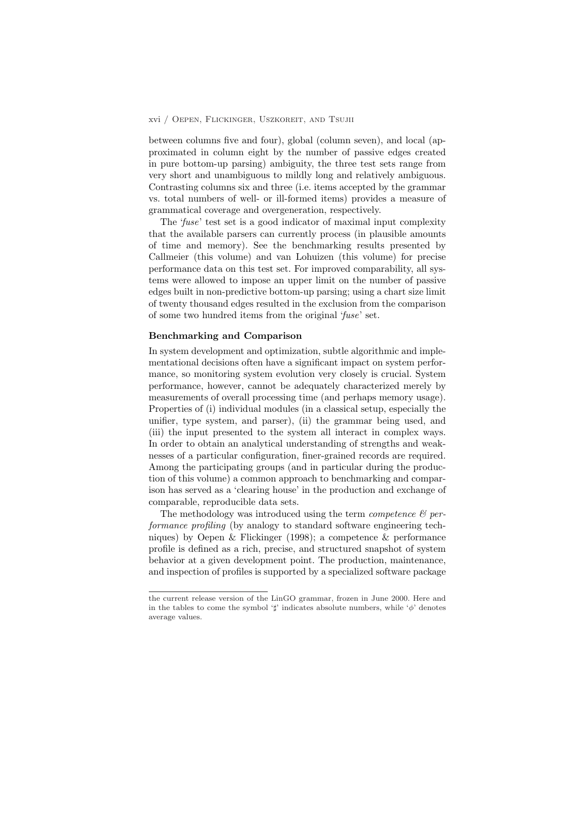#### xvi / Oepen, Flickinger, Uszkoreit, and Tsujii

between columns five and four), global (column seven), and local (approximated in column eight by the number of passive edges created in pure bottom-up parsing) ambiguity, the three test sets range from very short and unambiguous to mildly long and relatively ambiguous. Contrasting columns six and three (i.e. items accepted by the grammar vs. total numbers of well- or ill-formed items) provides a measure of grammatical coverage and overgeneration, respectively.

The 'fuse' test set is a good indicator of maximal input complexity that the available parsers can currently process (in plausible amounts of time and memory). See the benchmarking results presented by Callmeier (this volume) and van Lohuizen (this volume) for precise performance data on this test set. For improved comparability, all systems were allowed to impose an upper limit on the number of passive edges built in non-predictive bottom-up parsing; using a chart size limit of twenty thousand edges resulted in the exclusion from the comparison of some two hundred items from the original 'fuse' set.

## Benchmarking and Comparison

In system development and optimization, subtle algorithmic and implementational decisions often have a significant impact on system performance, so monitoring system evolution very closely is crucial. System performance, however, cannot be adequately characterized merely by measurements of overall processing time (and perhaps memory usage). Properties of (i) individual modules (in a classical setup, especially the unifier, type system, and parser), (ii) the grammar being used, and (iii) the input presented to the system all interact in complex ways. In order to obtain an analytical understanding of strengths and weaknesses of a particular configuration, finer-grained records are required. Among the participating groups (and in particular during the production of this volume) a common approach to benchmarking and comparison has served as a 'clearing house' in the production and exchange of comparable, reproducible data sets.

The methodology was introduced using the term *competence*  $\mathcal{B}$  performance profiling (by analogy to standard software engineering techniques) by Oepen & Flickinger (1998); a competence & performance profile is defined as a rich, precise, and structured snapshot of system behavior at a given development point. The production, maintenance, and inspection of profiles is supported by a specialized software package

the current release version of the LinGO grammar, frozen in June 2000. Here and in the tables to come the symbol ' $\sharp$ ' indicates absolute numbers, while ' $\phi$ ' denotes average values.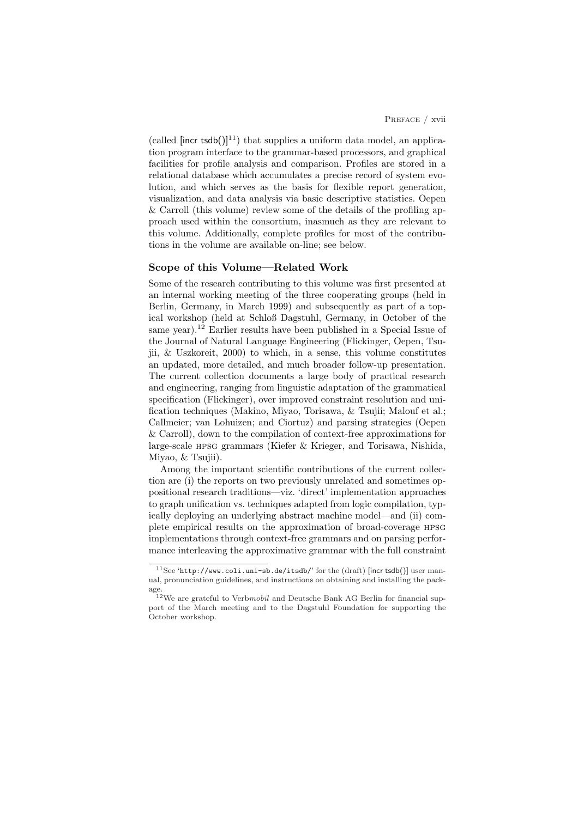(called  $[$ incr tsdb $()$ ]<sup>11</sup>) that supplies a uniform data model, an application program interface to the grammar-based processors, and graphical facilities for profile analysis and comparison. Profiles are stored in a relational database which accumulates a precise record of system evolution, and which serves as the basis for flexible report generation, visualization, and data analysis via basic descriptive statistics. Oepen & Carroll (this volume) review some of the details of the profiling approach used within the consortium, inasmuch as they are relevant to this volume. Additionally, complete profiles for most of the contributions in the volume are available on-line; see below.

## Scope of this Volume—Related Work

Some of the research contributing to this volume was first presented at an internal working meeting of the three cooperating groups (held in Berlin, Germany, in March 1999) and subsequently as part of a topical workshop (held at Schloß Dagstuhl, Germany, in October of the same year).<sup>12</sup> Earlier results have been published in a Special Issue of the Journal of Natural Language Engineering (Flickinger, Oepen, Tsujii, & Uszkoreit, 2000) to which, in a sense, this volume constitutes an updated, more detailed, and much broader follow-up presentation. The current collection documents a large body of practical research and engineering, ranging from linguistic adaptation of the grammatical specification (Flickinger), over improved constraint resolution and unification techniques (Makino, Miyao, Torisawa, & Tsujii; Malouf et al.; Callmeier; van Lohuizen; and Ciortuz) and parsing strategies (Oepen & Carroll), down to the compilation of context-free approximations for large-scale hpsg grammars (Kiefer & Krieger, and Torisawa, Nishida, Miyao, & Tsujii).

Among the important scientific contributions of the current collection are (i) the reports on two previously unrelated and sometimes oppositional research traditions—viz. 'direct' implementation approaches to graph unification vs. techniques adapted from logic compilation, typically deploying an underlying abstract machine model—and (ii) complete empirical results on the approximation of broad-coverage hpsg implementations through context-free grammars and on parsing performance interleaving the approximative grammar with the full constraint

 $11$ See 'http://www.coli.uni-sb.de/itsdb/' for the (draft) [incr tsdb()] user manual, pronunciation guidelines, and instructions on obtaining and installing the package.

 $12$ We are grateful to Verb $mobil$  and Deutsche Bank AG Berlin for financial support of the March meeting and to the Dagstuhl Foundation for supporting the October workshop.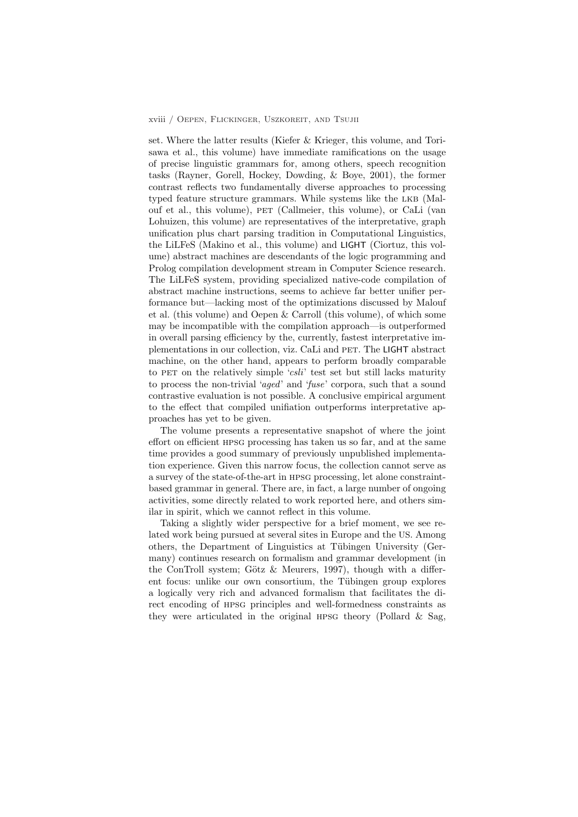### xviii / Oepen, Flickinger, Uszkoreit, and Tsujii

set. Where the latter results (Kiefer & Krieger, this volume, and Torisawa et al., this volume) have immediate ramifications on the usage of precise linguistic grammars for, among others, speech recognition tasks (Rayner, Gorell, Hockey, Dowding, & Boye, 2001), the former contrast reflects two fundamentally diverse approaches to processing typed feature structure grammars. While systems like the LKB (Malouf et al., this volume), pet (Callmeier, this volume), or CaLi (van Lohuizen, this volume) are representatives of the interpretative, graph unification plus chart parsing tradition in Computational Linguistics, the LiLFeS (Makino et al., this volume) and LIGHT (Ciortuz, this volume) abstract machines are descendants of the logic programming and Prolog compilation development stream in Computer Science research. The LiLFeS system, providing specialized native-code compilation of abstract machine instructions, seems to achieve far better unifier performance but—lacking most of the optimizations discussed by Malouf et al. (this volume) and Oepen & Carroll (this volume), of which some may be incompatible with the compilation approach—is outperformed in overall parsing efficiency by the, currently, fastest interpretative implementations in our collection, viz. CaLi and PET. The LIGHT abstract machine, on the other hand, appears to perform broadly comparable to PET on the relatively simple 'csli' test set but still lacks maturity to process the non-trivial 'aged' and 'fuse' corpora, such that a sound contrastive evaluation is not possible. A conclusive empirical argument to the effect that compiled unifiation outperforms interpretative approaches has yet to be given.

The volume presents a representative snapshot of where the joint effort on efficient hpsg processing has taken us so far, and at the same time provides a good summary of previously unpublished implementation experience. Given this narrow focus, the collection cannot serve as a survey of the state-of-the-art in hpsg processing, let alone constraintbased grammar in general. There are, in fact, a large number of ongoing activities, some directly related to work reported here, and others similar in spirit, which we cannot reflect in this volume.

Taking a slightly wider perspective for a brief moment, we see related work being pursued at several sites in Europe and the US. Among others, the Department of Linguistics at Tübingen University (Germany) continues research on formalism and grammar development (in the ConTroll system; Götz & Meurers, 1997), though with a different focus: unlike our own consortium, the Tübingen group explores a logically very rich and advanced formalism that facilitates the direct encoding of hpsg principles and well-formedness constraints as they were articulated in the original HPSG theory (Pollard  $\&$  Sag,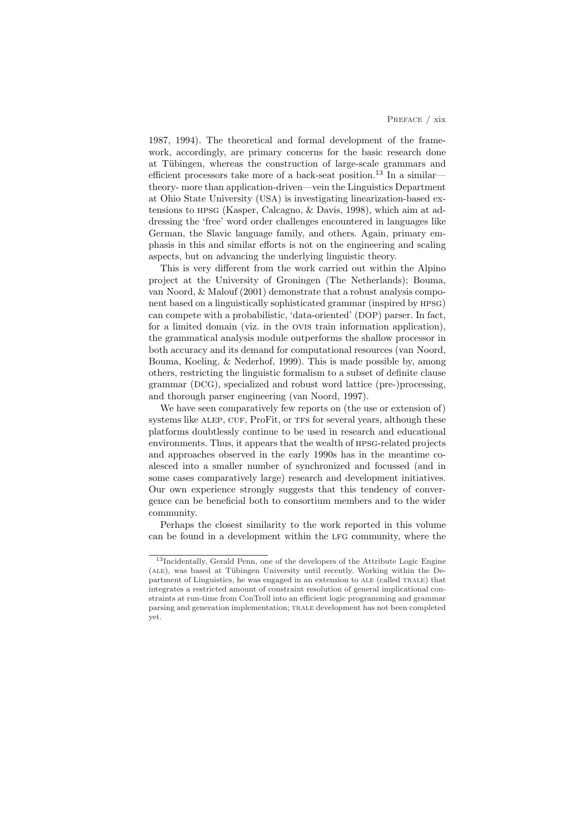1987, 1994). The theoretical and formal development of the framework, accordingly, are primary concerns for the basic research done at Tübingen, whereas the construction of large-scale grammars and efficient processors take more of a back-seat position.<sup>13</sup> In a similartheory- more than application-driven—vein the Linguistics Department at Ohio State University (USA) is investigating linearization-based extensions to hpsg (Kasper, Calcagno, & Davis, 1998), which aim at addressing the 'free' word order challenges encountered in languages like German, the Slavic language family, and others. Again, primary emphasis in this and similar efforts is not on the engineering and scaling aspects, but on advancing the underlying linguistic theory.

This is very different from the work carried out within the Alpino project at the University of Groningen (The Netherlands); Bouma, van Noord, & Malouf (2001) demonstrate that a robust analysis component based on a linguistically sophisticated grammar (inspired by hpsg) can compete with a probabilistic, 'data-oriented' (DOP) parser. In fact, for a limited domain (viz. in the ovis train information application), the grammatical analysis module outperforms the shallow processor in both accuracy and its demand for computational resources (van Noord, Bouma, Koeling, & Nederhof, 1999). This is made possible by, among others, restricting the linguistic formalism to a subset of definite clause grammar (DCG), specialized and robust word lattice (pre-)processing, and thorough parser engineering (van Noord, 1997).

We have seen comparatively few reports on (the use or extension of) systems like ALEP, CUF, ProFit, or TFS for several years, although these platforms doubtlessly continue to be used in research and educational environments. Thus, it appears that the wealth of HPSG-related projects and approaches observed in the early 1990s has in the meantime coalesced into a smaller number of synchronized and focussed (and in some cases comparatively large) research and development initiatives. Our own experience strongly suggests that this tendency of convergence can be beneficial both to consortium members and to the wider community.

Perhaps the closest similarity to the work reported in this volume can be found in a development within the lfg community, where the

<sup>13</sup>Incidentally, Gerald Penn, one of the developers of the Attribute Logic Engine (ALE), was based at Tübingen University until recently. Working within the Department of Linguistics, he was engaged in an extension to ALE (called TRALE) that integrates a restricted amount of constraint resolution of general implicational constraints at run-time from ConTroll into an efficient logic programming and grammar parsing and generation implementation; TRALE development has not been completed yet.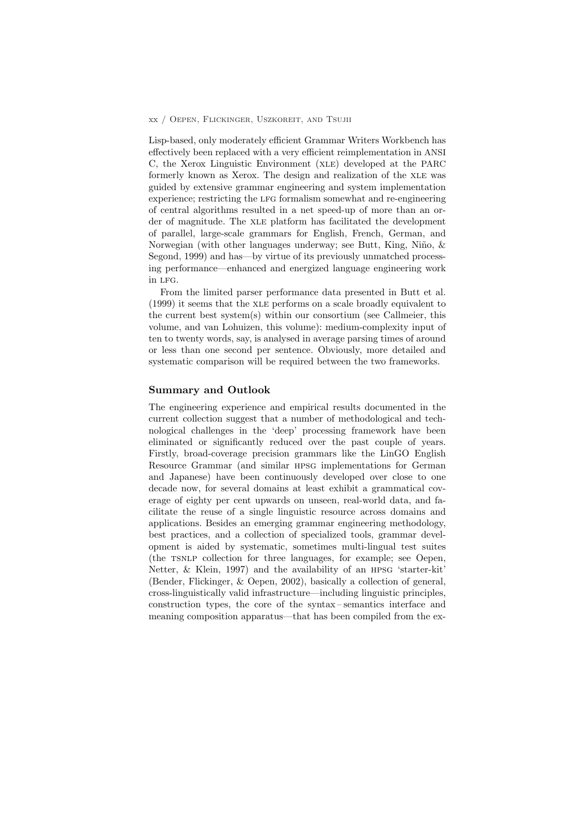#### xx / Oepen, Flickinger, Uszkoreit, and Tsujii

Lisp-based, only moderately efficient Grammar Writers Workbench has effectively been replaced with a very efficient reimplementation in ANSI C, the Xerox Linguistic Environment (xle) developed at the PARC formerly known as Xerox. The design and realization of the XLE was guided by extensive grammar engineering and system implementation experience; restricting the LFG formalism somewhat and re-engineering of central algorithms resulted in a net speed-up of more than an order of magnitude. The XLE platform has facilitated the development of parallel, large-scale grammars for English, French, German, and Norwegian (with other languages underway; see Butt, King, Niño,  $\&$ Segond, 1999) and has—by virtue of its previously unmatched processing performance—enhanced and energized language engineering work in LFG.

From the limited parser performance data presented in Butt et al. (1999) it seems that the xle performs on a scale broadly equivalent to the current best system(s) within our consortium (see Callmeier, this volume, and van Lohuizen, this volume): medium-complexity input of ten to twenty words, say, is analysed in average parsing times of around or less than one second per sentence. Obviously, more detailed and systematic comparison will be required between the two frameworks.

## Summary and Outlook

The engineering experience and empirical results documented in the current collection suggest that a number of methodological and technological challenges in the 'deep' processing framework have been eliminated or significantly reduced over the past couple of years. Firstly, broad-coverage precision grammars like the LinGO English Resource Grammar (and similar hpsg implementations for German and Japanese) have been continuously developed over close to one decade now, for several domains at least exhibit a grammatical coverage of eighty per cent upwards on unseen, real-world data, and facilitate the reuse of a single linguistic resource across domains and applications. Besides an emerging grammar engineering methodology, best practices, and a collection of specialized tools, grammar development is aided by systematic, sometimes multi-lingual test suites (the tsnlp collection for three languages, for example; see Oepen, Netter, & Klein, 1997) and the availability of an HPSG 'starter-kit' (Bender, Flickinger, & Oepen, 2002), basically a collection of general, cross-linguistically valid infrastructure—including linguistic principles, construction types, the core of the syntax – semantics interface and meaning composition apparatus—that has been compiled from the ex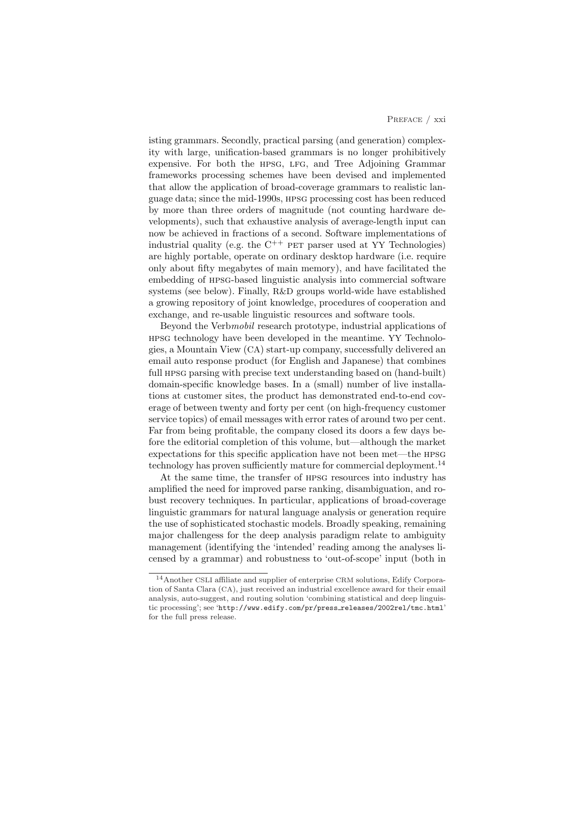isting grammars. Secondly, practical parsing (and generation) complexity with large, unification-based grammars is no longer prohibitively expensive. For both the HPSG, LFG, and Tree Adjoining Grammar frameworks processing schemes have been devised and implemented that allow the application of broad-coverage grammars to realistic language data; since the mid-1990s, hpsg processing cost has been reduced by more than three orders of magnitude (not counting hardware developments), such that exhaustive analysis of average-length input can now be achieved in fractions of a second. Software implementations of industrial quality (e.g. the  $C^{++}$  PET parser used at YY Technologies) are highly portable, operate on ordinary desktop hardware (i.e. require only about fifty megabytes of main memory), and have facilitated the embedding of hpsg-based linguistic analysis into commercial software systems (see below). Finally, R&D groups world-wide have established a growing repository of joint knowledge, procedures of cooperation and exchange, and re-usable linguistic resources and software tools.

Beyond the Verbmobil research prototype, industrial applications of hpsg technology have been developed in the meantime. YY Technologies, a Mountain View (CA) start-up company, successfully delivered an email auto response product (for English and Japanese) that combines full HPSG parsing with precise text understanding based on (hand-built) domain-specific knowledge bases. In a (small) number of live installations at customer sites, the product has demonstrated end-to-end coverage of between twenty and forty per cent (on high-frequency customer service topics) of email messages with error rates of around two per cent. Far from being profitable, the company closed its doors a few days before the editorial completion of this volume, but—although the market expectations for this specific application have not been met—the HPSG technology has proven sufficiently mature for commercial deployment.<sup>14</sup>

At the same time, the transfer of HPSG resources into industry has amplified the need for improved parse ranking, disambiguation, and robust recovery techniques. In particular, applications of broad-coverage linguistic grammars for natural language analysis or generation require the use of sophisticated stochastic models. Broadly speaking, remaining major challengess for the deep analysis paradigm relate to ambiguity management (identifying the 'intended' reading among the analyses licensed by a grammar) and robustness to 'out-of-scope' input (both in

<sup>14</sup>Another CSLI affiliate and supplier of enterprise CRM solutions, Edify Corporation of Santa Clara (CA), just received an industrial excellence award for their email analysis, auto-suggest, and routing solution 'combining statistical and deep linguistic processing'; see 'http://www.edify.com/pr/press releases/2002rel/tmc.html' for the full press release.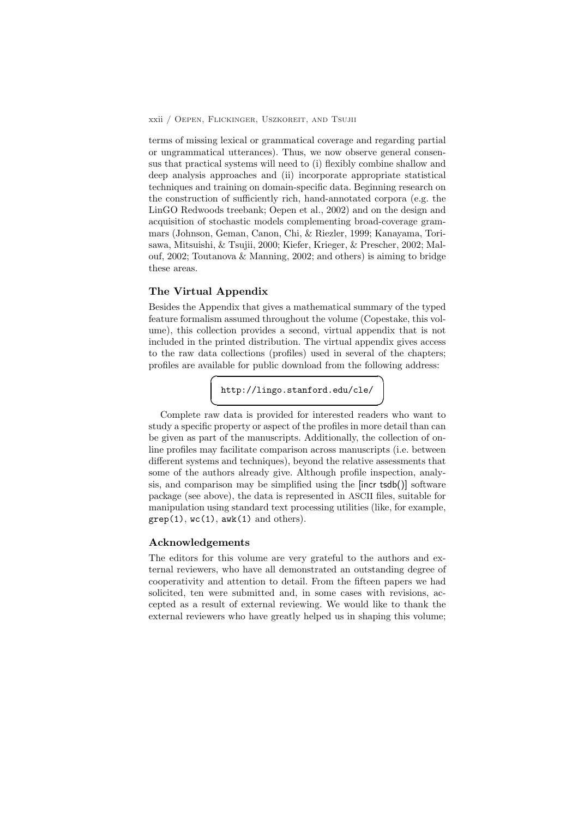xxii / Oepen, Flickinger, Uszkoreit, and Tsujii

terms of missing lexical or grammatical coverage and regarding partial or ungrammatical utterances). Thus, we now observe general consensus that practical systems will need to (i) flexibly combine shallow and deep analysis approaches and (ii) incorporate appropriate statistical techniques and training on domain-specific data. Beginning research on the construction of sufficiently rich, hand-annotated corpora (e.g. the LinGO Redwoods treebank; Oepen et al., 2002) and on the design and acquisition of stochastic models complementing broad-coverage grammars (Johnson, Geman, Canon, Chi, & Riezler, 1999; Kanayama, Torisawa, Mitsuishi, & Tsujii, 2000; Kiefer, Krieger, & Prescher, 2002; Malouf, 2002; Toutanova & Manning, 2002; and others) is aiming to bridge these areas.

# The Virtual Appendix

Besides the Appendix that gives a mathematical summary of the typed feature formalism assumed throughout the volume (Copestake, this volume), this collection provides a second, virtual appendix that is not included in the printed distribution. The virtual appendix gives access to the raw data collections (profiles) used in several of the chapters; profiles are available for public download from the following address:  $\overline{\phantom{a}}$ 

```
\cuphttp://lingo.stanford.edu/cle/
```
✠

Complete raw data is provided for interested readers who want to study a specific property or aspect of the profiles in more detail than can be given as part of the manuscripts. Additionally, the collection of online profiles may facilitate comparison across manuscripts (i.e. between different systems and techniques), beyond the relative assessments that some of the authors already give. Although profile inspection, analysis, and comparison may be simplified using the [incr tsdb()] software package (see above), the data is represented in ASCII files, suitable for manipulation using standard text processing utilities (like, for example,  $grep(1), wc(1), awk(1)$  and others).

## Acknowledgements

The editors for this volume are very grateful to the authors and external reviewers, who have all demonstrated an outstanding degree of cooperativity and attention to detail. From the fifteen papers we had solicited, ten were submitted and, in some cases with revisions, accepted as a result of external reviewing. We would like to thank the external reviewers who have greatly helped us in shaping this volume;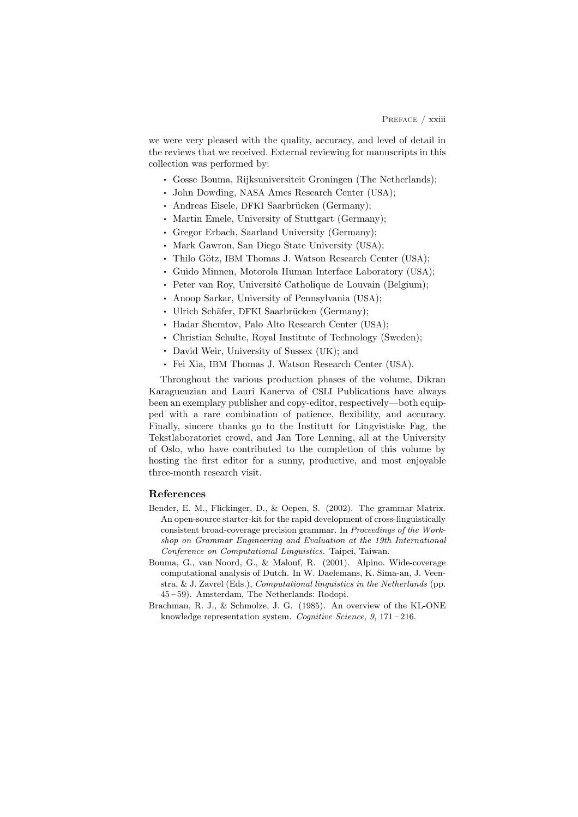we were very pleased with the quality, accuracy, and level of detail in the reviews that we received. External reviewing for manuscripts in this collection was performed by:

- . Gosse Bouma, Rijksuniversiteit Groningen (The Netherlands);
- . John Dowding, NASA Ames Research Center (USA);
- Andreas Eisele, DFKI Saarbrücken (Germany);
- . Martin Emele, University of Stuttgart (Germany);
- . Gregor Erbach, Saarland University (Germany);
- . Mark Gawron, San Diego State University (USA);
- Mark Gawron, San Diego State University (USA);<br>- Thilo Götz, IBM Thomas J. Watson Research Center (USA);
- Thilo Götz, IBM Thomas J. Watson Research Center (USA);<br>• Guido Minnen, Motorola Human Interface Laboratory (USA); • Guido Minnen, Motorola Human Interface Laboratory (USA);<br>• Peter van Roy, Université Catholique de Louvain (Belgium);
- 
- . Anoop Sarkar, University of Pennsylvania (USA);
- Ulrich Schäfer, DFKI Saarbrücken (Germany);
- . Hadar Shemtov, Palo Alto Research Center (USA);
- . Christian Schulte, Royal Institute of Technology (Sweden); . David Weir, University of Sussex (UK); and
- 
- David Weir, University of Sussex (UK); and<br>- Fei Xia, IBM Thomas J. Watson Research Center (USA).

Throughout the various production phases of the volume, Dikran Karagueuzian and Lauri Kanerva of CSLI Publications have always been an exemplary publisher and copy-editor, respectively—both equipped with a rare combination of patience, flexibility, and accuracy. Finally, sincere thanks go to the Institutt for Lingvistiske Fag, the Tekstlaboratoriet crowd, and Jan Tore Lønning, all at the University of Oslo, who have contributed to the completion of this volume by hosting the first editor for a sunny, productive, and most enjoyable three-month research visit.

# References

- Bender, E. M., Flickinger, D., & Oepen, S. (2002). The grammar Matrix. An open-source starter-kit for the rapid development of cross-linguistically consistent broad-coverage precision grammar. In Proceedings of the Workshop on Grammar Engineering and Evaluation at the 19th International Conference on Computational Linguistics. Taipei, Taiwan.
- Bouma, G., van Noord, G., & Malouf, R. (2001). Alpino. Wide-coverage computational analysis of Dutch. In W. Daelemans, K. Sima-an, J. Veenstra, & J. Zavrel (Eds.), Computational linguistics in the Netherlands (pp. 45 – 59). Amsterdam, The Netherlands: Rodopi.
- Brachman, R. J., & Schmolze, J. G. (1985). An overview of the KL-ONE knowledge representation system. Cognitive Science, 9, 171 – 216.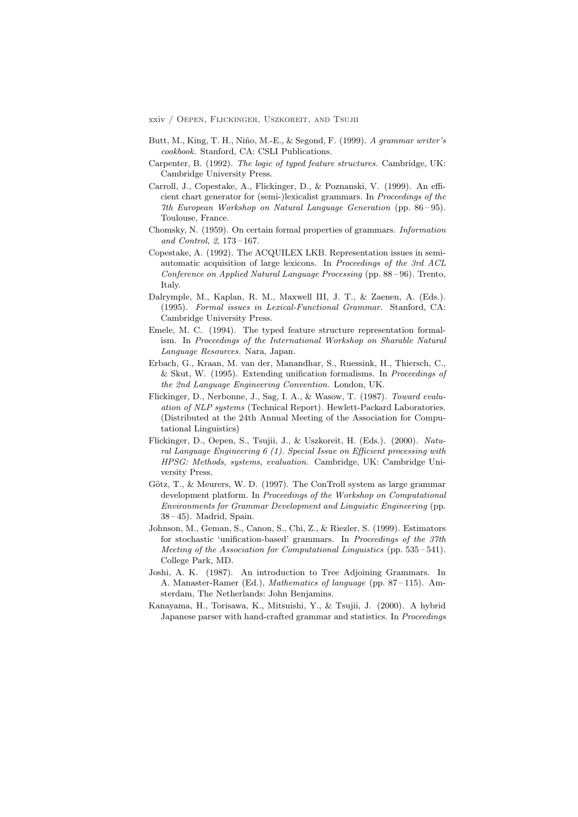xxiv / Oepen, Flickinger, Uszkoreit, and Tsujii

- Butt, M., King, T. H., Niño, M.-E., & Segond, F. (1999). A grammar writer's cookbook. Stanford, CA: CSLI Publications.
- Carpenter, B. (1992). The logic of typed feature structures. Cambridge, UK: Cambridge University Press.
- Carroll, J., Copestake, A., Flickinger, D., & Poznanski, V. (1999). An efficient chart generator for (semi-)lexicalist grammars. In Proceedings of the 7th European Workshop on Natural Language Generation (pp. 86 – 95). Toulouse, France.
- Chomsky, N. (1959). On certain formal properties of grammars. Information and Control, 2, 173 – 167.
- Copestake, A. (1992). The ACQUILEX LKB. Representation issues in semiautomatic acquisition of large lexicons. In Proceedings of the 3rd ACL Conference on Applied Natural Language Processing (pp. 88 – 96). Trento, Italy.
- Dalrymple, M., Kaplan, R. M., Maxwell III, J. T., & Zaenen, A. (Eds.). (1995). Formal issues in Lexical-Functional Grammar. Stanford, CA: Cambridge University Press.
- Emele, M. C. (1994). The typed feature structure representation formalism. In Proceedings of the International Workshop on Sharable Natural Language Resources. Nara, Japan.
- Erbach, G., Kraan, M. van der, Manandhar, S., Ruessink, H., Thiersch, C., & Skut, W. (1995). Extending unification formalisms. In Proceedings of the 2nd Language Engineering Convention. London, UK.
- Flickinger, D., Nerbonne, J., Sag, I. A., & Wasow, T. (1987). Toward evaluation of NLP systems (Technical Report). Hewlett-Packard Laboratories. (Distributed at the 24th Annual Meeting of the Association for Computational Linguistics)
- Flickinger, D., Oepen, S., Tsujii, J., & Uszkoreit, H. (Eds.). (2000). Natural Language Engineering 6 (1). Special Issue on Efficient processing with HPSG: Methods, systems, evaluation. Cambridge, UK: Cambridge University Press.
- Götz, T., & Meurers, W. D. (1997). The ConTroll system as large grammar development platform. In Proceedings of the Workshop on Computational Environments for Grammar Development and Linguistic Engineering (pp. 38 – 45). Madrid, Spain.
- Johnson, M., Geman, S., Canon, S., Chi, Z., & Riezler, S. (1999). Estimators for stochastic 'unification-based' grammars. In Proceedings of the 37th Meeting of the Association for Computational Linguistics (pp. 535 – 541). College Park, MD.
- Joshi, A. K. (1987). An introduction to Tree Adjoining Grammars. In A. Manaster-Ramer (Ed.), *Mathematics of language* (pp. 87–115). Amsterdam, The Netherlands: John Benjamins.
- Kanayama, H., Torisawa, K., Mitsuishi, Y., & Tsujii, J. (2000). A hybrid Japanese parser with hand-crafted grammar and statistics. In Proceedings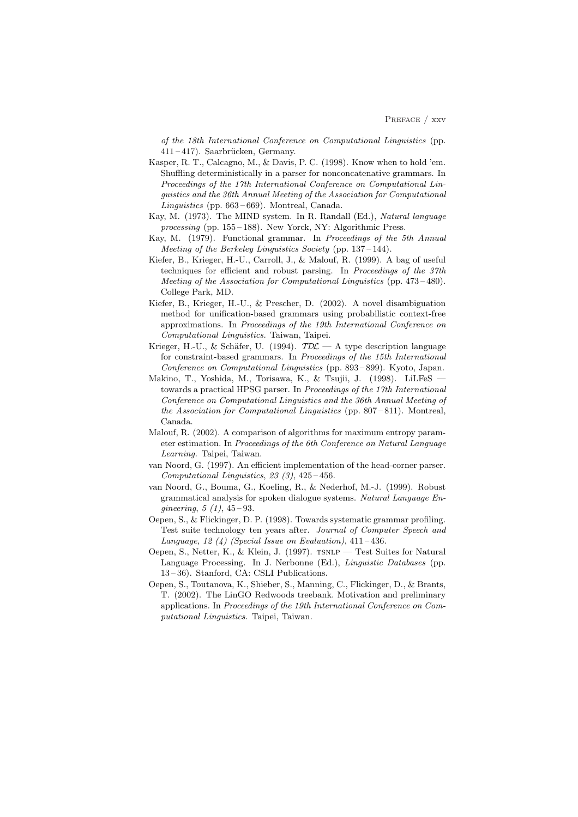of the 18th International Conference on Computational Linguistics (pp.  $411 - 417$ ). Saarbrücken, Germany.

- Kasper, R. T., Calcagno, M., & Davis, P. C. (1998). Know when to hold 'em. Shuffling deterministically in a parser for nonconcatenative grammars. In Proceedings of the 17th International Conference on Computational Linguistics and the 36th Annual Meeting of the Association for Computational Linguistics (pp. 663 – 669). Montreal, Canada.
- Kay, M. (1973). The MIND system. In R. Randall (Ed.), Natural language processing (pp. 155 – 188). New Yorck, NY: Algorithmic Press.
- Kay, M. (1979). Functional grammar. In Proceedings of the 5th Annual Meeting of the Berkeley Linguistics Society (pp. 137 – 144).
- Kiefer, B., Krieger, H.-U., Carroll, J., & Malouf, R. (1999). A bag of useful techniques for efficient and robust parsing. In Proceedings of the 37th Meeting of the Association for Computational Linguistics (pp. 473 – 480). College Park, MD.
- Kiefer, B., Krieger, H.-U., & Prescher, D. (2002). A novel disambiguation method for unification-based grammars using probabilistic context-free approximations. In Proceedings of the 19th International Conference on Computational Linguistics. Taiwan, Taipei.
- Krieger, H.-U., & Schäfer, U. (1994).  $T\mathcal{D}\mathcal{L}$  A type description language for constraint-based grammars. In Proceedings of the 15th International Conference on Computational Linguistics (pp. 893 – 899). Kyoto, Japan.
- Makino, T., Yoshida, M., Torisawa, K., & Tsujii, J. (1998). LiLFeS towards a practical HPSG parser. In Proceedings of the 17th International Conference on Computational Linguistics and the 36th Annual Meeting of the Association for Computational Linguistics (pp. 807 – 811). Montreal, Canada.
- Malouf, R. (2002). A comparison of algorithms for maximum entropy parameter estimation. In Proceedings of the 6th Conference on Natural Language Learning. Taipei, Taiwan.
- van Noord, G. (1997). An efficient implementation of the head-corner parser. Computational Linguistics, 23 (3), 425 – 456.
- van Noord, G., Bouma, G., Koeling, R., & Nederhof, M.-J. (1999). Robust grammatical analysis for spoken dialogue systems. Natural Language Engineering,  $5(1)$ ,  $45-93$ .
- Oepen, S., & Flickinger, D. P. (1998). Towards systematic grammar profiling. Test suite technology ten years after. Journal of Computer Speech and Language, 12 (4) (Special Issue on Evaluation),  $411-436$ .
- Oepen, S., Netter, K., & Klein, J. (1997). TSNLP Test Suites for Natural Language Processing. In J. Nerbonne (Ed.), Linguistic Databases (pp. 13 – 36). Stanford, CA: CSLI Publications.
- Oepen, S., Toutanova, K., Shieber, S., Manning, C., Flickinger, D., & Brants, T. (2002). The LinGO Redwoods treebank. Motivation and preliminary applications. In Proceedings of the 19th International Conference on Computational Linguistics. Taipei, Taiwan.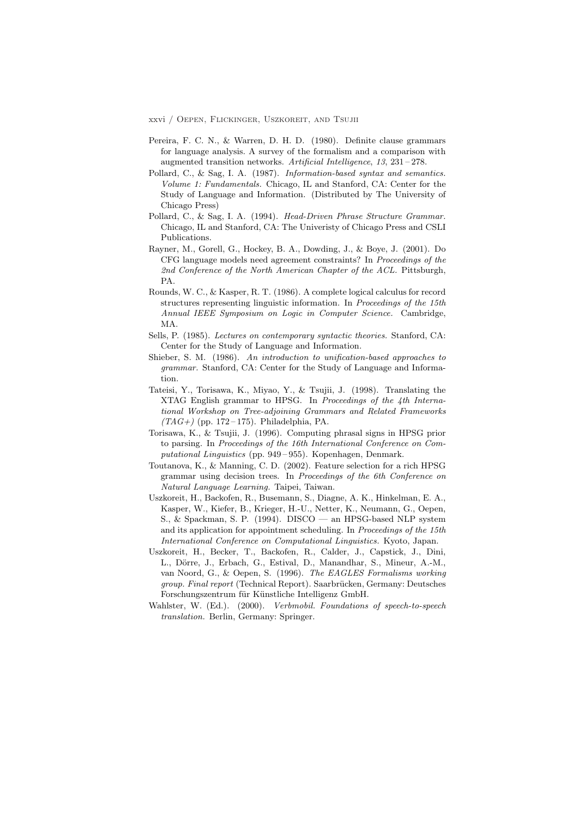xxvi / Oepen, Flickinger, Uszkoreit, and Tsujii

- Pereira, F. C. N., & Warren, D. H. D. (1980). Definite clause grammars for language analysis. A survey of the formalism and a comparison with augmented transition networks. Artificial Intelligence, 13, 231 – 278.
- Pollard, C., & Sag, I. A. (1987). Information-based syntax and semantics. Volume 1: Fundamentals. Chicago, IL and Stanford, CA: Center for the Study of Language and Information. (Distributed by The University of Chicago Press)
- Pollard, C., & Sag, I. A. (1994). Head-Driven Phrase Structure Grammar. Chicago, IL and Stanford, CA: The Univeristy of Chicago Press and CSLI Publications.
- Rayner, M., Gorell, G., Hockey, B. A., Dowding, J., & Boye, J. (2001). Do CFG language models need agreement constraints? In Proceedings of the 2nd Conference of the North American Chapter of the ACL. Pittsburgh, PA.
- Rounds, W. C., & Kasper, R. T. (1986). A complete logical calculus for record structures representing linguistic information. In Proceedings of the 15th Annual IEEE Symposium on Logic in Computer Science. Cambridge, MA.
- Sells, P. (1985). Lectures on contemporary syntactic theories. Stanford, CA: Center for the Study of Language and Information.
- Shieber, S. M. (1986). An introduction to unification-based approaches to grammar. Stanford, CA: Center for the Study of Language and Information.
- Tateisi, Y., Torisawa, K., Miyao, Y., & Tsujii, J. (1998). Translating the XTAG English grammar to HPSG. In Proceedings of the 4th International Workshop on Tree-adjoining Grammars and Related Frameworks  $(TAG+)$  (pp. 172-175). Philadelphia, PA.
- Torisawa, K., & Tsujii, J. (1996). Computing phrasal signs in HPSG prior to parsing. In Proceedings of the 16th International Conference on Computational Linguistics (pp. 949 – 955). Kopenhagen, Denmark.
- Toutanova, K., & Manning, C. D. (2002). Feature selection for a rich HPSG grammar using decision trees. In Proceedings of the 6th Conference on Natural Language Learning. Taipei, Taiwan.
- Uszkoreit, H., Backofen, R., Busemann, S., Diagne, A. K., Hinkelman, E. A., Kasper, W., Kiefer, B., Krieger, H.-U., Netter, K., Neumann, G., Oepen, S., & Spackman, S. P. (1994). DISCO — an HPSG-based NLP system and its application for appointment scheduling. In Proceedings of the 15th International Conference on Computational Linguistics. Kyoto, Japan.
- Uszkoreit, H., Becker, T., Backofen, R., Calder, J., Capstick, J., Dini, L., Dörre, J., Erbach, G., Estival, D., Manandhar, S., Mineur, A.-M., van Noord, G., & Oepen, S. (1996). The EAGLES Formalisms working group. Final report (Technical Report). Saarbrücken, Germany: Deutsches Forschungszentrum für Künstliche Intelligenz GmbH.
- Wahlster, W. (Ed.). (2000). Verbmobil. Foundations of speech-to-speech translation. Berlin, Germany: Springer.